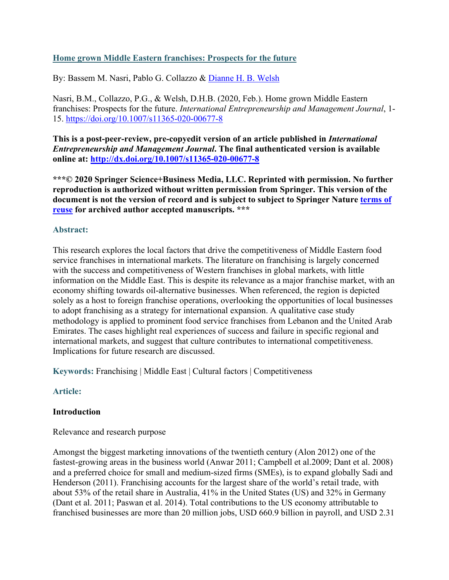# **Home grown Middle Eastern franchises: Prospects for the future**

By: Bassem M. Nasri, Pablo G. Collazzo & [Dianne H. B. Welsh](http://libres.uncg.edu/ir/uncg/clist.aspx?id=1948)

Nasri, B.M., Collazzo, P.G., & Welsh, D.H.B. (2020, Feb.). Home grown Middle Eastern franchises: Prospects for the future. *International Entrepreneurship and Management Journal*, 1- 15. <https://doi.org/10.1007/s11365-020-00677-8>

**This is a post-peer-review, pre-copyedit version of an article published in** *International Entrepreneurship and Management Journal***. The final authenticated version is available online at:<http://dx.doi.org/10.1007/s11365-020-00677-8>**

**\*\*\*© 2020 Springer Science+Business Media, LLC. Reprinted with permission. No further reproduction is authorized without written permission from Springer. This version of the document is not the version of record and is subject to subject to Springer Nature [terms of](https://www.springer.com/gp/open-access/publication-policies/aam-terms-of-use)  [reuse](https://www.springer.com/gp/open-access/publication-policies/aam-terms-of-use) for archived author accepted manuscripts. \*\*\***

## **Abstract:**

This research explores the local factors that drive the competitiveness of Middle Eastern food service franchises in international markets. The literature on franchising is largely concerned with the success and competitiveness of Western franchises in global markets, with little information on the Middle East. This is despite its relevance as a major franchise market, with an economy shifting towards oil-alternative businesses. When referenced, the region is depicted solely as a host to foreign franchise operations, overlooking the opportunities of local businesses to adopt franchising as a strategy for international expansion. A qualitative case study methodology is applied to prominent food service franchises from Lebanon and the United Arab Emirates. The cases highlight real experiences of success and failure in specific regional and international markets, and suggest that culture contributes to international competitiveness. Implications for future research are discussed.

**Keywords:** Franchising | Middle East | Cultural factors | Competitiveness

# **Article:**

#### **Introduction**

#### Relevance and research purpose

Amongst the biggest marketing innovations of the twentieth century (Alon 2012) one of the fastest-growing areas in the business world (Anwar 2011; Campbell et al.2009; Dant et al. 2008) and a preferred choice for small and medium-sized firms (SMEs), is to expand globally Sadi and Henderson (2011). Franchising accounts for the largest share of the world's retail trade, with about 53% of the retail share in Australia, 41% in the United States (US) and 32% in Germany (Dant et al. 2011; Paswan et al. 2014). Total contributions to the US economy attributable to franchised businesses are more than 20 million jobs, USD 660.9 billion in payroll, and USD 2.31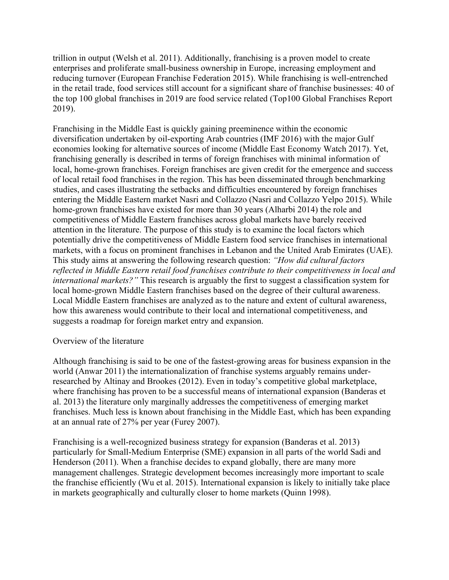trillion in output (Welsh et al. 2011). Additionally, franchising is a proven model to create enterprises and proliferate small-business ownership in Europe, increasing employment and reducing turnover (European Franchise Federation 2015). While franchising is well-entrenched in the retail trade, food services still account for a significant share of franchise businesses: 40 of the top 100 global franchises in 2019 are food service related (Top100 Global Franchises Report 2019).

Franchising in the Middle East is quickly gaining preeminence within the economic diversification undertaken by oil-exporting Arab countries (IMF 2016) with the major Gulf economies looking for alternative sources of income (Middle East Economy Watch 2017). Yet, franchising generally is described in terms of foreign franchises with minimal information of local, home-grown franchises. Foreign franchises are given credit for the emergence and success of local retail food franchises in the region. This has been disseminated through benchmarking studies, and cases illustrating the setbacks and difficulties encountered by foreign franchises entering the Middle Eastern market Nasri and Collazzo (Nasri and Collazzo Yelpo 2015). While home-grown franchises have existed for more than 30 years (Alharbi 2014) the role and competitiveness of Middle Eastern franchises across global markets have barely received attention in the literature. The purpose of this study is to examine the local factors which potentially drive the competitiveness of Middle Eastern food service franchises in international markets, with a focus on prominent franchises in Lebanon and the United Arab Emirates (UAE). This study aims at answering the following research question: *"How did cultural factors reflected in Middle Eastern retail food franchises contribute to their competitiveness in local and international markets?"* This research is arguably the first to suggest a classification system for local home-grown Middle Eastern franchises based on the degree of their cultural awareness. Local Middle Eastern franchises are analyzed as to the nature and extent of cultural awareness, how this awareness would contribute to their local and international competitiveness, and suggests a roadmap for foreign market entry and expansion.

#### Overview of the literature

Although franchising is said to be one of the fastest-growing areas for business expansion in the world (Anwar 2011) the internationalization of franchise systems arguably remains underresearched by Altinay and Brookes (2012). Even in today's competitive global marketplace, where franchising has proven to be a successful means of international expansion (Banderas et al. 2013) the literature only marginally addresses the competitiveness of emerging market franchises. Much less is known about franchising in the Middle East, which has been expanding at an annual rate of 27% per year (Furey 2007).

Franchising is a well-recognized business strategy for expansion (Banderas et al. 2013) particularly for Small-Medium Enterprise (SME) expansion in all parts of the world Sadi and Henderson (2011). When a franchise decides to expand globally, there are many more management challenges. Strategic development becomes increasingly more important to scale the franchise efficiently (Wu et al. 2015). International expansion is likely to initially take place in markets geographically and culturally closer to home markets (Quinn 1998).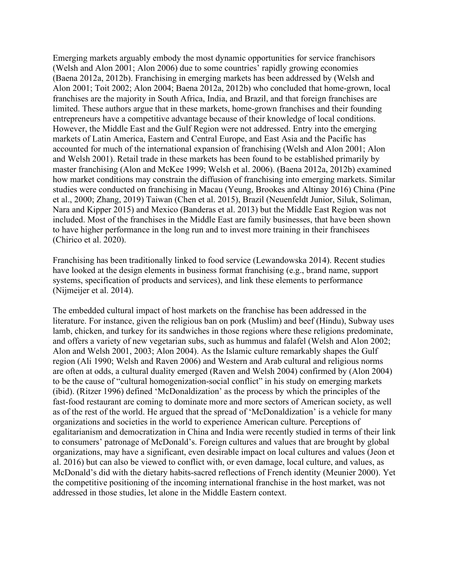Emerging markets arguably embody the most dynamic opportunities for service franchisors (Welsh and Alon 2001; Alon 2006) due to some countries' rapidly growing economies (Baena 2012a, 2012b). Franchising in emerging markets has been addressed by (Welsh and Alon 2001; Toit 2002; Alon 2004; Baena 2012a, 2012b) who concluded that home-grown, local franchises are the majority in South Africa, India, and Brazil, and that foreign franchises are limited. These authors argue that in these markets, home-grown franchises and their founding entrepreneurs have a competitive advantage because of their knowledge of local conditions. However, the Middle East and the Gulf Region were not addressed. Entry into the emerging markets of Latin America, Eastern and Central Europe, and East Asia and the Pacific has accounted for much of the international expansion of franchising (Welsh and Alon 2001; Alon and Welsh 2001). Retail trade in these markets has been found to be established primarily by master franchising (Alon and McKee 1999; Welsh et al. 2006). (Baena 2012a, 2012b) examined how market conditions may constrain the diffusion of franchising into emerging markets. Similar studies were conducted on franchising in Macau (Yeung, Brookes and Altinay 2016) China (Pine et al., 2000; Zhang, 2019) Taiwan (Chen et al. 2015), Brazil (Neuenfeldt Junior, Siluk, Soliman, Nara and Kipper 2015) and Mexico (Banderas et al. 2013) but the Middle East Region was not included. Most of the franchises in the Middle East are family businesses, that have been shown to have higher performance in the long run and to invest more training in their franchisees (Chirico et al. 2020).

Franchising has been traditionally linked to food service (Lewandowska 2014). Recent studies have looked at the design elements in business format franchising (e.g., brand name, support systems, specification of products and services), and link these elements to performance (Nijmeijer et al. 2014).

The embedded cultural impact of host markets on the franchise has been addressed in the literature. For instance, given the religious ban on pork (Muslim) and beef (Hindu), Subway uses lamb, chicken, and turkey for its sandwiches in those regions where these religions predominate, and offers a variety of new vegetarian subs, such as hummus and falafel (Welsh and Alon 2002; Alon and Welsh 2001, 2003; Alon 2004). As the Islamic culture remarkably shapes the Gulf region (Ali 1990; Welsh and Raven 2006) and Western and Arab cultural and religious norms are often at odds, a cultural duality emerged (Raven and Welsh 2004) confirmed by (Alon 2004) to be the cause of "cultural homogenization-social conflict" in his study on emerging markets (ibid). (Ritzer 1996) defined 'McDonaldization' as the process by which the principles of the fast-food restaurant are coming to dominate more and more sectors of American society, as well as of the rest of the world. He argued that the spread of 'McDonaldization' is a vehicle for many organizations and societies in the world to experience American culture. Perceptions of egalitarianism and democratization in China and India were recently studied in terms of their link to consumers' patronage of McDonald's. Foreign cultures and values that are brought by global organizations, may have a significant, even desirable impact on local cultures and values (Jeon et al. 2016) but can also be viewed to conflict with, or even damage, local culture, and values, as McDonald's did with the dietary habits-sacred reflections of French identity (Meunier 2000). Yet the competitive positioning of the incoming international franchise in the host market, was not addressed in those studies, let alone in the Middle Eastern context.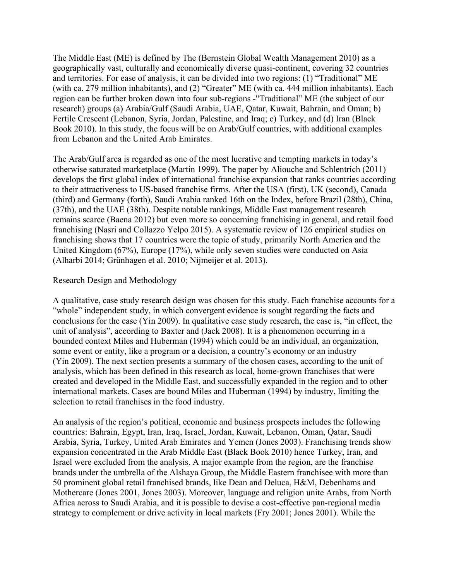The Middle East (ME) is defined by The (Bernstein Global Wealth Management 2010) as a geographically vast, culturally and economically diverse quasi-continent, covering 32 countries and territories. For ease of analysis, it can be divided into two regions: (1) "Traditional" ME (with ca. 279 million inhabitants), and (2) "Greater" ME (with ca. 444 million inhabitants). Each region can be further broken down into four sub-regions -"Traditional" ME (the subject of our research) groups (a) Arabia/Gulf (Saudi Arabia, UAE, Qatar, Kuwait, Bahrain, and Oman; b) Fertile Crescent (Lebanon, Syria, Jordan, Palestine, and Iraq; c) Turkey, and (d) Iran (Black Book 2010). In this study, the focus will be on Arab/Gulf countries, with additional examples from Lebanon and the United Arab Emirates.

The Arab/Gulf area is regarded as one of the most lucrative and tempting markets in today's otherwise saturated marketplace (Martin 1999). The paper by Aliouche and Schlentrich (2011) develops the first global index of international franchise expansion that ranks countries according to their attractiveness to US-based franchise firms. After the USA (first), UK (second), Canada (third) and Germany (forth), Saudi Arabia ranked 16th on the Index, before Brazil (28th), China, (37th), and the UAE (38th). Despite notable rankings, Middle East management research remains scarce (Baena 2012) but even more so concerning franchising in general, and retail food franchising (Nasri and Collazzo Yelpo 2015). A systematic review of 126 empirical studies on franchising shows that 17 countries were the topic of study, primarily North America and the United Kingdom (67%), Europe (17%), while only seven studies were conducted on Asia (Alharbi 2014; Grünhagen et al. 2010; Nijmeijer et al. 2013).

## Research Design and Methodology

A qualitative, case study research design was chosen for this study. Each franchise accounts for a "whole" independent study, in which convergent evidence is sought regarding the facts and conclusions for the case (Yin 2009). In qualitative case study research, the case is, "in effect, the unit of analysis", according to Baxter and (Jack 2008). It is a phenomenon occurring in a bounded context Miles and Huberman (1994) which could be an individual, an organization, some event or entity, like a program or a decision, a country's economy or an industry (Yin 2009). The next section presents a summary of the chosen cases, according to the unit of analysis, which has been defined in this research as local, home-grown franchises that were created and developed in the Middle East, and successfully expanded in the region and to other international markets. Cases are bound Miles and Huberman (1994) by industry, limiting the selection to retail franchises in the food industry.

An analysis of the region's political, economic and business prospects includes the following countries: Bahrain, Egypt, Iran, Iraq, Israel, Jordan, Kuwait, Lebanon, Oman, Qatar, Saudi Arabia, Syria, Turkey, United Arab Emirates and Yemen (Jones 2003). Franchising trends show expansion concentrated in the Arab Middle East **(**Black Book 2010) hence Turkey, Iran, and Israel were excluded from the analysis. A major example from the region, are the franchise brands under the umbrella of the Alshaya Group, the Middle Eastern franchisee with more than 50 prominent global retail franchised brands, like Dean and Deluca, H&M, Debenhams and Mothercare (Jones 2001, Jones 2003). Moreover, language and religion unite Arabs, from North Africa across to Saudi Arabia, and it is possible to devise a cost-effective pan-regional media strategy to complement or drive activity in local markets (Fry 2001; Jones 2001). While the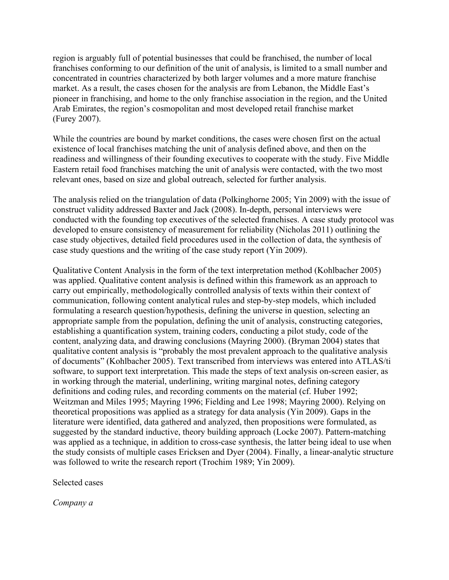region is arguably full of potential businesses that could be franchised, the number of local franchises conforming to our definition of the unit of analysis, is limited to a small number and concentrated in countries characterized by both larger volumes and a more mature franchise market. As a result, the cases chosen for the analysis are from Lebanon, the Middle East's pioneer in franchising, and home to the only franchise association in the region, and the United Arab Emirates, the region's cosmopolitan and most developed retail franchise market (Furey 2007).

While the countries are bound by market conditions, the cases were chosen first on the actual existence of local franchises matching the unit of analysis defined above, and then on the readiness and willingness of their founding executives to cooperate with the study. Five Middle Eastern retail food franchises matching the unit of analysis were contacted, with the two most relevant ones, based on size and global outreach, selected for further analysis.

The analysis relied on the triangulation of data (Polkinghorne 2005; Yin 2009) with the issue of construct validity addressed Baxter and Jack (2008). In-depth, personal interviews were conducted with the founding top executives of the selected franchises. A case study protocol was developed to ensure consistency of measurement for reliability (Nicholas 2011) outlining the case study objectives, detailed field procedures used in the collection of data, the synthesis of case study questions and the writing of the case study report (Yin 2009).

Qualitative Content Analysis in the form of the text interpretation method (Kohlbacher 2005) was applied. Qualitative content analysis is defined within this framework as an approach to carry out empirically, methodologically controlled analysis of texts within their context of communication, following content analytical rules and step-by-step models, which included formulating a research question/hypothesis, defining the universe in question, selecting an appropriate sample from the population, defining the unit of analysis, constructing categories, establishing a quantification system, training coders, conducting a pilot study, code of the content, analyzing data, and drawing conclusions (Mayring 2000). (Bryman 2004) states that qualitative content analysis is "probably the most prevalent approach to the qualitative analysis of documents" (Kohlbacher 2005). Text transcribed from interviews was entered into ATLAS/ti software, to support text interpretation. This made the steps of text analysis on-screen easier, as in working through the material, underlining, writing marginal notes, defining category definitions and coding rules, and recording comments on the material (cf. Huber 1992; Weitzman and Miles 1995; Mayring 1996; Fielding and Lee 1998; Mayring 2000). Relying on theoretical propositions was applied as a strategy for data analysis (Yin 2009). Gaps in the literature were identified, data gathered and analyzed, then propositions were formulated, as suggested by the standard inductive, theory building approach (Locke 2007). Pattern-matching was applied as a technique, in addition to cross-case synthesis, the latter being ideal to use when the study consists of multiple cases Ericksen and Dyer (2004). Finally, a linear-analytic structure was followed to write the research report (Trochim 1989; Yin 2009).

Selected cases

*Company a*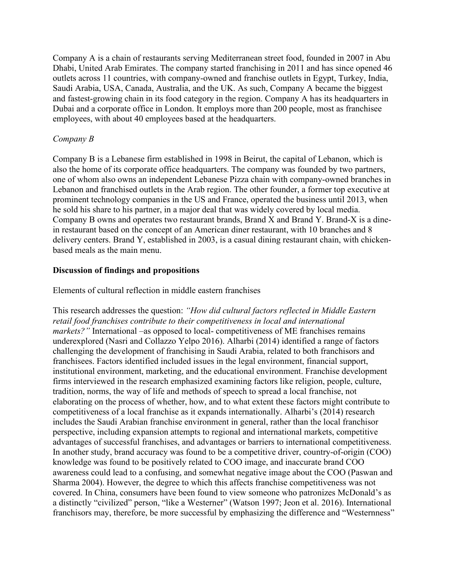Company A is a chain of restaurants serving Mediterranean street food, founded in 2007 in Abu Dhabi, United Arab Emirates. The company started franchising in 2011 and has since opened 46 outlets across 11 countries, with company-owned and franchise outlets in Egypt, Turkey, India, Saudi Arabia, USA, Canada, Australia, and the UK. As such, Company A became the biggest and fastest-growing chain in its food category in the region. Company A has its headquarters in Dubai and a corporate office in London. It employs more than 200 people, most as franchisee employees, with about 40 employees based at the headquarters.

## *Company B*

Company B is a Lebanese firm established in 1998 in Beirut, the capital of Lebanon, which is also the home of its corporate office headquarters. The company was founded by two partners, one of whom also owns an independent Lebanese Pizza chain with company-owned branches in Lebanon and franchised outlets in the Arab region. The other founder, a former top executive at prominent technology companies in the US and France, operated the business until 2013, when he sold his share to his partner, in a major deal that was widely covered by local media. Company B owns and operates two restaurant brands, Brand X and Brand Y. Brand-X is a dinein restaurant based on the concept of an American diner restaurant, with 10 branches and 8 delivery centers. Brand Y, established in 2003, is a casual dining restaurant chain, with chickenbased meals as the main menu.

## **Discussion of findings and propositions**

Elements of cultural reflection in middle eastern franchises

This research addresses the question: *"How did cultural factors reflected in Middle Eastern retail food franchises contribute to their competitiveness in local and international markets?"* International –as opposed to local- competitiveness of ME franchises remains underexplored (Nasri and Collazzo Yelpo 2016). Alharbi (2014) identified a range of factors challenging the development of franchising in Saudi Arabia, related to both franchisors and franchisees. Factors identified included issues in the legal environment, financial support, institutional environment, marketing, and the educational environment. Franchise development firms interviewed in the research emphasized examining factors like religion, people, culture, tradition, norms, the way of life and methods of speech to spread a local franchise, not elaborating on the process of whether, how, and to what extent these factors might contribute to competitiveness of a local franchise as it expands internationally. Alharbi's (2014) research includes the Saudi Arabian franchise environment in general, rather than the local franchisor perspective, including expansion attempts to regional and international markets, competitive advantages of successful franchises, and advantages or barriers to international competitiveness. In another study, brand accuracy was found to be a competitive driver, country-of-origin (COO) knowledge was found to be positively related to COO image, and inaccurate brand COO awareness could lead to a confusing, and somewhat negative image about the COO (Paswan and Sharma 2004). However, the degree to which this affects franchise competitiveness was not covered. In China, consumers have been found to view someone who patronizes McDonald's as a distinctly "civilized" person, "like a Westerner" (Watson 1997; Jeon et al. 2016). International franchisors may, therefore, be more successful by emphasizing the difference and "Westernness"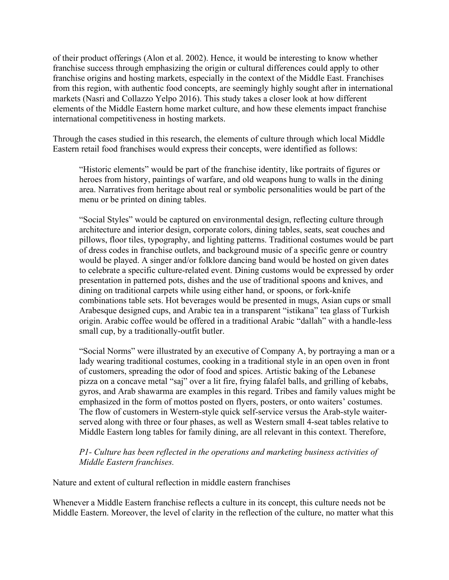of their product offerings (Alon et al. 2002). Hence, it would be interesting to know whether franchise success through emphasizing the origin or cultural differences could apply to other franchise origins and hosting markets, especially in the context of the Middle East. Franchises from this region, with authentic food concepts, are seemingly highly sought after in international markets (Nasri and Collazzo Yelpo 2016). This study takes a closer look at how different elements of the Middle Eastern home market culture, and how these elements impact franchise international competitiveness in hosting markets.

Through the cases studied in this research, the elements of culture through which local Middle Eastern retail food franchises would express their concepts, were identified as follows:

"Historic elements" would be part of the franchise identity, like portraits of figures or heroes from history, paintings of warfare, and old weapons hung to walls in the dining area. Narratives from heritage about real or symbolic personalities would be part of the menu or be printed on dining tables.

"Social Styles" would be captured on environmental design, reflecting culture through architecture and interior design, corporate colors, dining tables, seats, seat couches and pillows, floor tiles, typography, and lighting patterns. Traditional costumes would be part of dress codes in franchise outlets, and background music of a specific genre or country would be played. A singer and/or folklore dancing band would be hosted on given dates to celebrate a specific culture-related event. Dining customs would be expressed by order presentation in patterned pots, dishes and the use of traditional spoons and knives, and dining on traditional carpets while using either hand, or spoons, or fork-knife combinations table sets. Hot beverages would be presented in mugs, Asian cups or small Arabesque designed cups, and Arabic tea in a transparent "istikana" tea glass of Turkish origin. Arabic coffee would be offered in a traditional Arabic "dallah" with a handle-less small cup, by a traditionally-outfit butler.

"Social Norms" were illustrated by an executive of Company A, by portraying a man or a lady wearing traditional costumes, cooking in a traditional style in an open oven in front of customers, spreading the odor of food and spices. Artistic baking of the Lebanese pizza on a concave metal "saj" over a lit fire, frying falafel balls, and grilling of kebabs, gyros, and Arab shawarma are examples in this regard. Tribes and family values might be emphasized in the form of mottos posted on flyers, posters, or onto waiters' costumes. The flow of customers in Western-style quick self-service versus the Arab-style waiterserved along with three or four phases, as well as Western small 4-seat tables relative to Middle Eastern long tables for family dining, are all relevant in this context. Therefore,

## *P1- Culture has been reflected in the operations and marketing business activities of Middle Eastern franchises.*

Nature and extent of cultural reflection in middle eastern franchises

Whenever a Middle Eastern franchise reflects a culture in its concept, this culture needs not be Middle Eastern. Moreover, the level of clarity in the reflection of the culture, no matter what this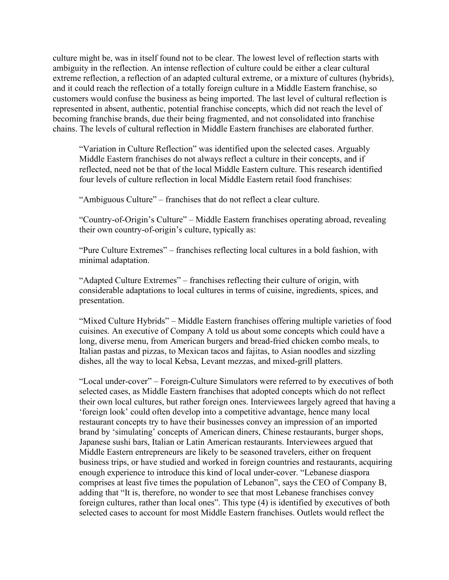culture might be, was in itself found not to be clear. The lowest level of reflection starts with ambiguity in the reflection. An intense reflection of culture could be either a clear cultural extreme reflection, a reflection of an adapted cultural extreme, or a mixture of cultures (hybrids), and it could reach the reflection of a totally foreign culture in a Middle Eastern franchise, so customers would confuse the business as being imported. The last level of cultural reflection is represented in absent, authentic, potential franchise concepts, which did not reach the level of becoming franchise brands, due their being fragmented, and not consolidated into franchise chains. The levels of cultural reflection in Middle Eastern franchises are elaborated further.

"Variation in Culture Reflection" was identified upon the selected cases. Arguably Middle Eastern franchises do not always reflect a culture in their concepts, and if reflected, need not be that of the local Middle Eastern culture. This research identified four levels of culture reflection in local Middle Eastern retail food franchises:

"Ambiguous Culture" *–* franchises that do not reflect a clear culture.

"Country-of-Origin's Culture" *–* Middle Eastern franchises operating abroad, revealing their own country-of-origin's culture, typically as:

"Pure Culture Extremes" *–* franchises reflecting local cultures in a bold fashion, with minimal adaptation.

"Adapted Culture Extremes" *–* franchises reflecting their culture of origin, with considerable adaptations to local cultures in terms of cuisine, ingredients, spices, and presentation.

"Mixed Culture Hybrids" *–* Middle Eastern franchises offering multiple varieties of food cuisines. An executive of Company A told us about some concepts which could have a long, diverse menu, from American burgers and bread-fried chicken combo meals, to Italian pastas and pizzas, to Mexican tacos and fajitas, to Asian noodles and sizzling dishes, all the way to local Kebsa, Levant mezzas, and mixed-grill platters.

"Local under-cover" *–* Foreign-Culture Simulators were referred to by executives of both selected cases, as Middle Eastern franchises that adopted concepts which do not reflect their own local cultures, but rather foreign ones. Interviewees largely agreed that having a 'foreign look' could often develop into a competitive advantage, hence many local restaurant concepts try to have their businesses convey an impression of an imported brand by 'simulating' concepts of American diners, Chinese restaurants, burger shops, Japanese sushi bars, Italian or Latin American restaurants. Interviewees argued that Middle Eastern entrepreneurs are likely to be seasoned travelers, either on frequent business trips, or have studied and worked in foreign countries and restaurants, acquiring enough experience to introduce this kind of local under-cover. "Lebanese diaspora comprises at least five times the population of Lebanon", says the CEO of Company B, adding that "It is, therefore, no wonder to see that most Lebanese franchises convey foreign cultures, rather than local ones". This type (4) is identified by executives of both selected cases to account for most Middle Eastern franchises. Outlets would reflect the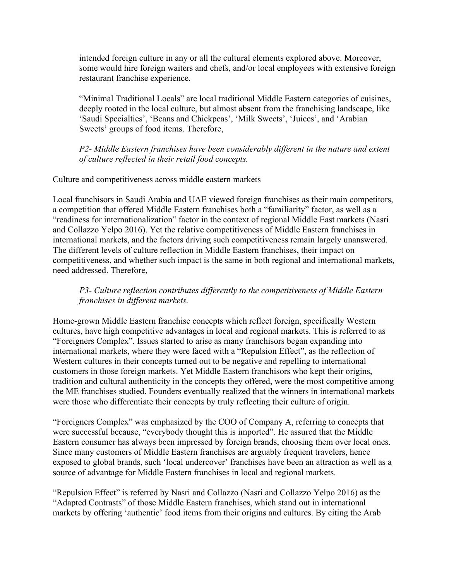intended foreign culture in any or all the cultural elements explored above. Moreover, some would hire foreign waiters and chefs, and/or local employees with extensive foreign restaurant franchise experience.

"Minimal Traditional Locals" are local traditional Middle Eastern categories of cuisines, deeply rooted in the local culture, but almost absent from the franchising landscape, like 'Saudi Specialties', 'Beans and Chickpeas', 'Milk Sweets', 'Juices', and 'Arabian Sweets' groups of food items. Therefore,

*P2- Middle Eastern franchises have been considerably different in the nature and extent of culture reflected in their retail food concepts.*

## Culture and competitiveness across middle eastern markets

Local franchisors in Saudi Arabia and UAE viewed foreign franchises as their main competitors, a competition that offered Middle Eastern franchises both a "familiarity" factor, as well as a "readiness for internationalization" factor in the context of regional Middle East markets (Nasri and Collazzo Yelpo 2016). Yet the relative competitiveness of Middle Eastern franchises in international markets, and the factors driving such competitiveness remain largely unanswered. The different levels of culture reflection in Middle Eastern franchises, their impact on competitiveness, and whether such impact is the same in both regional and international markets, need addressed. Therefore,

# *P3- Culture reflection contributes differently to the competitiveness of Middle Eastern franchises in different markets.*

Home-grown Middle Eastern franchise concepts which reflect foreign, specifically Western cultures, have high competitive advantages in local and regional markets. This is referred to as "Foreigners Complex". Issues started to arise as many franchisors began expanding into international markets, where they were faced with a "Repulsion Effect", as the reflection of Western cultures in their concepts turned out to be negative and repelling to international customers in those foreign markets. Yet Middle Eastern franchisors who kept their origins, tradition and cultural authenticity in the concepts they offered, were the most competitive among the ME franchises studied. Founders eventually realized that the winners in international markets were those who differentiate their concepts by truly reflecting their culture of origin.

"Foreigners Complex" was emphasized by the COO of Company A, referring to concepts that were successful because, "everybody thought this is imported". He assured that the Middle Eastern consumer has always been impressed by foreign brands, choosing them over local ones. Since many customers of Middle Eastern franchises are arguably frequent travelers, hence exposed to global brands, such 'local undercover' franchises have been an attraction as well as a source of advantage for Middle Eastern franchises in local and regional markets.

"Repulsion Effect" is referred by Nasri and Collazzo (Nasri and Collazzo Yelpo 2016) as the "Adapted Contrasts" of those Middle Eastern franchises, which stand out in international markets by offering 'authentic' food items from their origins and cultures. By citing the Arab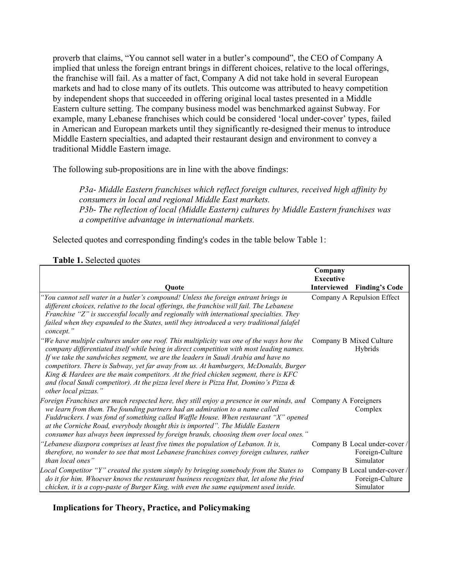proverb that claims, "You cannot sell water in a butler's compound", the CEO of Company A implied that unless the foreign entrant brings in different choices, relative to the local offerings, the franchise will fail. As a matter of fact, Company A did not take hold in several European markets and had to close many of its outlets. This outcome was attributed to heavy competition by independent shops that succeeded in offering original local tastes presented in a Middle Eastern culture setting. The company business model was benchmarked against Subway. For example, many Lebanese franchises which could be considered 'local under-cover' types, failed in American and European markets until they significantly re-designed their menus to introduce Middle Eastern specialties, and adapted their restaurant design and environment to convey a traditional Middle Eastern image.

The following sub-propositions are in line with the above findings:

*P3a- Middle Eastern franchises which reflect foreign cultures, received high affinity by consumers in local and regional Middle East markets. P3b- The reflection of local (Middle Eastern) cultures by Middle Eastern franchises was a competitive advantage in international markets.*

Selected quotes and corresponding finding's codes in the table below Table 1:

| Ouote                                                                                                                                                                                                                                                                                                                                                                                                                                                                                                                                                                          | Company<br><b>Executive</b><br><b>Interviewed</b> | <b>Finding's Code</b>                                         |
|--------------------------------------------------------------------------------------------------------------------------------------------------------------------------------------------------------------------------------------------------------------------------------------------------------------------------------------------------------------------------------------------------------------------------------------------------------------------------------------------------------------------------------------------------------------------------------|---------------------------------------------------|---------------------------------------------------------------|
|                                                                                                                                                                                                                                                                                                                                                                                                                                                                                                                                                                                |                                                   |                                                               |
| You cannot sell water in a butler's compound! Unless the foreign entrant brings in<br>different choices, relative to the local offerings, the franchise will fail. The Lebanese<br>Franchise "Z" is successful locally and regionally with international specialties. They<br>failed when they expanded to the States, until they introduced a very traditional falafel<br>concept."                                                                                                                                                                                           |                                                   | Company A Repulsion Effect                                    |
| We have multiple cultures under one roof. This multiplicity was one of the ways how the<br>company differentiated itself while being in direct competition with most leading names.<br>If we take the sandwiches segment, we are the leaders in Saudi Arabia and have no<br>competitors. There is Subway, yet far away from us. At hamburgers, McDonalds, Burger<br>King $\&$ Hardees are the main competitors. At the fried chicken segment, there is KFC<br>and (local Saudi competitor). At the pizza level there is Pizza Hut, Domino's Pizza $\&$<br>other local pizzas." |                                                   | Company B Mixed Culture<br>Hybrids                            |
| Foreign Franchises are much respected here, they still enjoy a presence in our minds, and Company A Foreigners<br>we learn from them. The founding partners had an admiration to a name called<br>Fuddruckers. I was fond of something called Waffle House. When restaurant "X" opened<br>at the Corniche Road, everybody thought this is imported". The Middle Eastern<br>consumer has always been impressed by foreign brands, choosing them over local ones."                                                                                                               |                                                   | Complex                                                       |
| 'Lebanese diaspora comprises at least five times the population of Lebanon. It is,<br>therefore, no wonder to see that most Lebanese franchises convey foreign cultures, rather<br>than local ones"                                                                                                                                                                                                                                                                                                                                                                            |                                                   | Company B Local under-cover /<br>Foreign-Culture<br>Simulator |
| Local Competitor "Y" created the system simply by bringing somebody from the States to<br>do it for him. Whoever knows the restaurant business recognizes that, let alone the fried<br>chicken, it is a copy-paste of Burger King, with even the same equipment used inside.                                                                                                                                                                                                                                                                                                   |                                                   | Company B Local under-cover /<br>Foreign-Culture<br>Simulator |

#### **Table 1.** Selected quotes

**Implications for Theory, Practice, and Policymaking**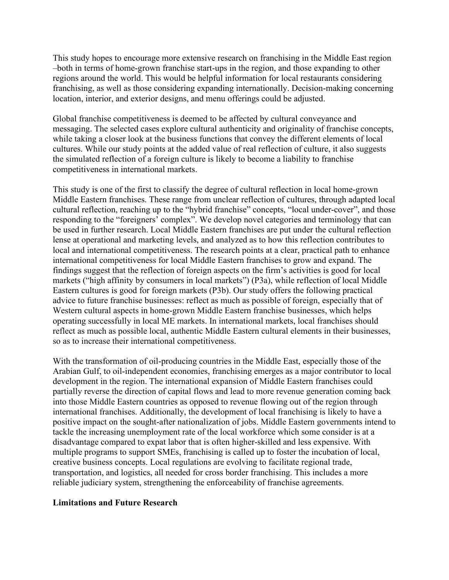This study hopes to encourage more extensive research on franchising in the Middle East region –both in terms of home-grown franchise start-ups in the region, and those expanding to other regions around the world. This would be helpful information for local restaurants considering franchising, as well as those considering expanding internationally. Decision-making concerning location, interior, and exterior designs, and menu offerings could be adjusted.

Global franchise competitiveness is deemed to be affected by cultural conveyance and messaging. The selected cases explore cultural authenticity and originality of franchise concepts, while taking a closer look at the business functions that convey the different elements of local cultures. While our study points at the added value of real reflection of culture, it also suggests the simulated reflection of a foreign culture is likely to become a liability to franchise competitiveness in international markets.

This study is one of the first to classify the degree of cultural reflection in local home-grown Middle Eastern franchises. These range from unclear reflection of cultures, through adapted local cultural reflection, reaching up to the "hybrid franchise" concepts, "local under-cover", and those responding to the "foreigners' complex". We develop novel categories and terminology that can be used in further research. Local Middle Eastern franchises are put under the cultural reflection lense at operational and marketing levels, and analyzed as to how this reflection contributes to local and international competitiveness. The research points at a clear, practical path to enhance international competitiveness for local Middle Eastern franchises to grow and expand. The findings suggest that the reflection of foreign aspects on the firm's activities is good for local markets ("high affinity by consumers in local markets") (P3a), while reflection of local Middle Eastern cultures is good for foreign markets (P3b). Our study offers the following practical advice to future franchise businesses: reflect as much as possible of foreign, especially that of Western cultural aspects in home-grown Middle Eastern franchise businesses, which helps operating successfully in local ME markets. In international markets, local franchises should reflect as much as possible local, authentic Middle Eastern cultural elements in their businesses, so as to increase their international competitiveness.

With the transformation of oil-producing countries in the Middle East, especially those of the Arabian Gulf, to oil-independent economies, franchising emerges as a major contributor to local development in the region. The international expansion of Middle Eastern franchises could partially reverse the direction of capital flows and lead to more revenue generation coming back into those Middle Eastern countries as opposed to revenue flowing out of the region through international franchises. Additionally, the development of local franchising is likely to have a positive impact on the sought-after nationalization of jobs. Middle Eastern governments intend to tackle the increasing unemployment rate of the local workforce which some consider is at a disadvantage compared to expat labor that is often higher-skilled and less expensive. With multiple programs to support SMEs, franchising is called up to foster the incubation of local, creative business concepts. Local regulations are evolving to facilitate regional trade, transportation, and logistics, all needed for cross border franchising. This includes a more reliable judiciary system, strengthening the enforceability of franchise agreements.

#### **Limitations and Future Research**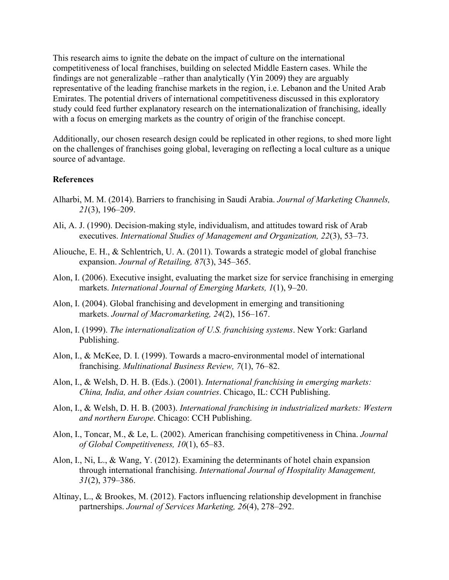This research aims to ignite the debate on the impact of culture on the international competitiveness of local franchises, building on selected Middle Eastern cases. While the findings are not generalizable –rather than analytically (Yin 2009) they are arguably representative of the leading franchise markets in the region, i.e. Lebanon and the United Arab Emirates. The potential drivers of international competitiveness discussed in this exploratory study could feed further explanatory research on the internationalization of franchising, ideally with a focus on emerging markets as the country of origin of the franchise concept.

Additionally, our chosen research design could be replicated in other regions, to shed more light on the challenges of franchises going global, leveraging on reflecting a local culture as a unique source of advantage.

#### **References**

- Alharbi, M. M. (2014). Barriers to franchising in Saudi Arabia. *Journal of Marketing Channels, 21*(3), 196–209.
- Ali, A. J. (1990). Decision-making style, individualism, and attitudes toward risk of Arab executives. *International Studies of Management and Organization, 22*(3), 53–73.
- Aliouche, E. H., & Schlentrich, U. A. (2011). Towards a strategic model of global franchise expansion. *Journal of Retailing, 87*(3), 345–365.
- Alon, I. (2006). Executive insight, evaluating the market size for service franchising in emerging markets. *International Journal of Emerging Markets, 1*(1), 9–20.
- Alon, I. (2004). Global franchising and development in emerging and transitioning markets. *Journal of Macromarketing, 24*(2), 156–167.
- Alon, I. (1999). *The internationalization of U.S. franchising systems*. New York: Garland Publishing.
- Alon, I., & McKee, D. I. (1999). Towards a macro-environmental model of international franchising. *Multinational Business Review, 7*(1), 76–82.
- Alon, I., & Welsh, D. H. B. (Eds.). (2001). *International franchising in emerging markets: China, India, and other Asian countries*. Chicago, IL: CCH Publishing.
- Alon, I., & Welsh, D. H. B. (2003). *International franchising in industrialized markets: Western and northern Europe*. Chicago: CCH Publishing.
- Alon, I., Toncar, M., & Le, L. (2002). American franchising competitiveness in China. *Journal of Global Competitiveness, 10*(1), 65–83.
- Alon, I., Ni, L., & Wang, Y. (2012). Examining the determinants of hotel chain expansion through international franchising. *International Journal of Hospitality Management, 31*(2), 379–386.
- Altinay, L., & Brookes, M. (2012). Factors influencing relationship development in franchise partnerships. *Journal of Services Marketing, 26*(4), 278–292.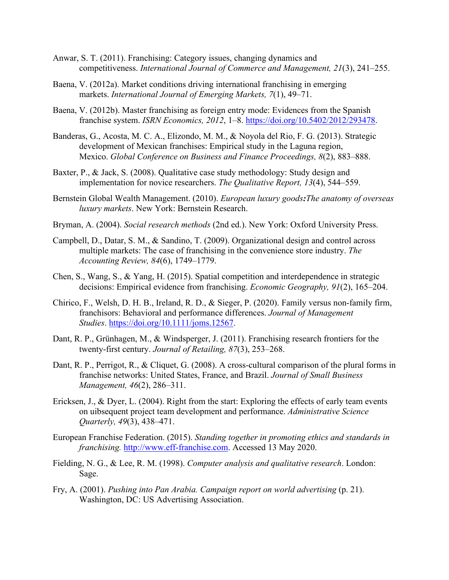- Anwar, S. T. (2011). Franchising: Category issues, changing dynamics and competitiveness. *International Journal of Commerce and Management, 21*(3), 241–255.
- Baena, V. (2012a). Market conditions driving international franchising in emerging markets. *International Journal of Emerging Markets, 7*(1), 49–71.
- Baena, V. (2012b). Master franchising as foreign entry mode: Evidences from the Spanish franchise system. *ISRN Economics, 2012*, 1–8. [https://doi.org/10.5402/2012/293478.](https://doi.org/10.5402/2012/293478)
- Banderas, G., Acosta, M. C. A., Elizondo, M. M., & Noyola del Rio, F. G. (2013). Strategic development of Mexican franchises: Empirical study in the Laguna region, Mexico. *Global Conference on Business and Finance Proceedings, 8*(2), 883–888.
- Baxter, P., & Jack, S. (2008). Qualitative case study methodology: Study design and implementation for novice researchers. *The Qualitative Report, 13*(4), 544–559.
- Bernstein Global Wealth Management. (2010). *European luxury goods:The anatomy of overseas luxury markets*. New York: Bernstein Research.
- Bryman, A. (2004). *Social research methods* (2nd ed.). New York: Oxford University Press.
- Campbell, D., Datar, S. M., & Sandino, T. (2009). Organizational design and control across multiple markets: The case of franchising in the convenience store industry. *The Accounting Review, 84*(6), 1749–1779.
- Chen, S., Wang, S., & Yang, H. (2015). Spatial competition and interdependence in strategic decisions: Empirical evidence from franchising. *Economic Geography, 91*(2), 165–204.
- Chirico, F., Welsh, D. H. B., Ireland, R. D., & Sieger, P. (2020). Family versus non-family firm, franchisors: Behavioral and performance differences. *Journal of Management Studies*. [https://doi.org/10.1111/joms.12567.](https://doi.org/10.1111/joms.12567)
- Dant, R. P., Grünhagen, M., & Windsperger, J. (2011). Franchising research frontiers for the twenty-first century. *Journal of Retailing, 87*(3), 253–268.
- Dant, R. P., Perrigot, R., & Cliquet, G. (2008). A cross-cultural comparison of the plural forms in franchise networks: United States, France, and Brazil. *Journal of Small Business Management, 46*(2), 286–311.
- Ericksen, J., & Dyer, L. (2004). Right from the start: Exploring the effects of early team events on uibsequent project team development and performance. *Administrative Science Quarterly, 49*(3), 438–471.
- European Franchise Federation. (2015). *Standing together in promoting ethics and standards in franchising.* [http://www.eff-franchise.com.](http://www.eff-franchise.com/) Accessed 13 May 2020.
- Fielding, N. G., & Lee, R. M. (1998). *Computer analysis and qualitative research*. London: Sage.
- Fry, A. (2001). *Pushing into Pan Arabia. Campaign report on world advertising* (p. 21). Washington, DC: US Advertising Association.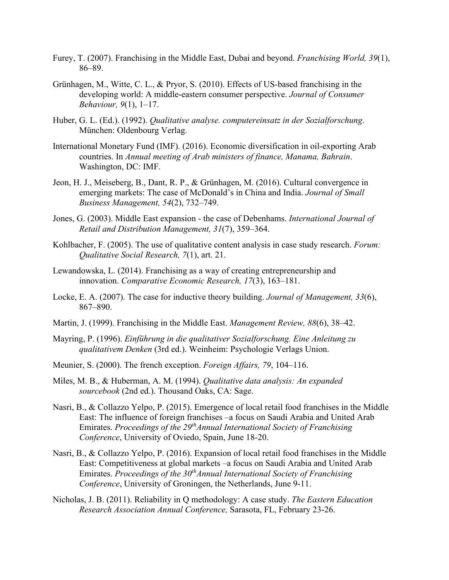- Furey, T. (2007). Franchising in the Middle East, Dubai and beyond. *Franchising World, 39*(1), 86–89.
- Grünhagen, M., Witte, C. L., & Pryor, S. (2010). Effects of US-based franchising in the developing world: A middle-eastern consumer perspective. *Journal of Consumer Behaviour, 9*(1), 1–17.
- Huber, G. L. (Ed.). (1992). *Qualitative analyse. computereinsatz in der Sozialforschung*. München: Oldenbourg Verlag.
- International Monetary Fund (IMF). (2016). Economic diversification in oil-exporting Arab countries. In *Annual meeting of Arab ministers of finance, Manama, Bahrain*. Washington, DC: IMF.
- Jeon, H. J., Meiseberg, B., Dant, R. P., & Grünhagen, M. (2016). Cultural convergence in emerging markets: The case of McDonald's in China and India. *Journal of Small Business Management, 54*(2), 732–749.
- Jones, G. (2003). Middle East expansion the case of Debenhams. *International Journal of Retail and Distribution Management, 31*(7), 359–364.
- Kohlbacher, F. (2005). The use of qualitative content analysis in case study research. *Forum: Qualitative Social Research, 7*(1), art. 21.
- Lewandowska, L. (2014). Franchising as a way of creating entrepreneurship and innovation. *Comparative Economic Research, 17*(3), 163–181.
- Locke, E. A. (2007). The case for inductive theory building. *Journal of Management, 33*(6), 867–890.
- Martin, J. (1999). Franchising in the Middle East. *Management Review, 88*(6), 38–42.
- Mayring, P. (1996). *Einführung in die qualitativer Sozialforschung. Eine Anleitung zu qualitativem Denken* (3rd ed.). Weinheim: Psychologie Verlags Union.
- Meunier, S. (2000). The french exception. *Foreign Affairs, 79*, 104–116.
- Miles, M. B., & Huberman, A. M. (1994). *Qualitative data analysis: An expanded sourcebook* (2nd ed.). Thousand Oaks, CA: Sage.
- Nasri, B., & Collazzo Yelpo, P. (2015). Emergence of local retail food franchises in the Middle East: The influence of foreign franchises –a focus on Saudi Arabia and United Arab Emirates. *Proceedings of the 29thAnnual International Society of Franchising Conference*, University of Oviedo, Spain, June 18-20.
- Nasri, B., & Collazzo Yelpo, P. (2016). Expansion of local retail food franchises in the Middle East: Competitiveness at global markets –a focus on Saudi Arabia and United Arab Emirates. *Proceedings of the 30<sup>th</sup>Annual International Society of Franchising Conference*, University of Groningen, the Netherlands, June 9-11.
- Nicholas, J. B. (2011). Reliability in Q methodology: A case study. *The Eastern Education Research Association Annual Conference,* Sarasota, FL, February 23-26.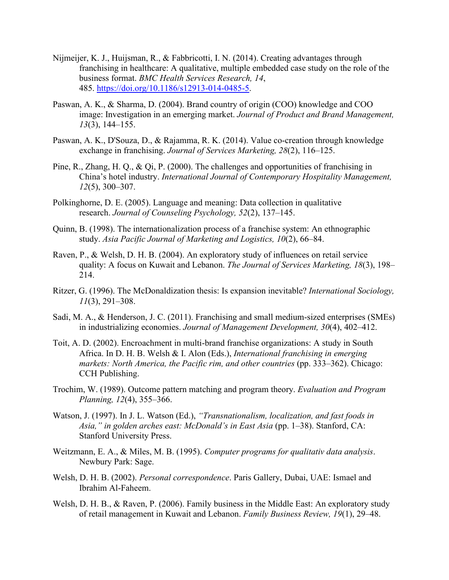- Nijmeijer, K. J., Huijsman, R., & Fabbricotti, I. N. (2014). Creating advantages through franchising in healthcare: A qualitative, multiple embedded case study on the role of the business format. *BMC Health Services Research, 14*, 485. [https://doi.org/10.1186/s12913-014-0485-5.](https://doi.org/10.1186/s12913-014-0485-5)
- Paswan, A. K., & Sharma, D. (2004). Brand country of origin (COO) knowledge and COO image: Investigation in an emerging market. *Journal of Product and Brand Management, 13*(3), 144–155.
- Paswan, A. K., D'Souza, D., & Rajamma, R. K. (2014). Value co-creation through knowledge exchange in franchising. *Journal of Services Marketing, 28*(2), 116–125.
- Pine, R., Zhang, H. Q., & Qi, P. (2000). The challenges and opportunities of franchising in China's hotel industry. *International Journal of Contemporary Hospitality Management, 12*(5), 300–307.
- Polkinghorne, D. E. (2005). Language and meaning: Data collection in qualitative research. *Journal of Counseling Psychology, 52*(2), 137–145.
- Quinn, B. (1998). The internationalization process of a franchise system: An ethnographic study. *Asia Pacific Journal of Marketing and Logistics, 10*(2), 66–84.
- Raven, P., & Welsh, D. H. B. (2004). An exploratory study of influences on retail service quality: A focus on Kuwait and Lebanon. *The Journal of Services Marketing, 18*(3), 198– 214.
- Ritzer, G. (1996). The McDonaldization thesis: Is expansion inevitable? *International Sociology, 11*(3), 291–308.
- Sadi, M. A., & Henderson, J. C. (2011). Franchising and small medium-sized enterprises (SMEs) in industrializing economies. *Journal of Management Development, 30*(4), 402–412.
- Toit, A. D. (2002). Encroachment in multi-brand franchise organizations: A study in South Africa. In D. H. B. Welsh & I. Alon (Eds.), *International franchising in emerging markets: North America, the Pacific rim, and other countries* (pp. 333–362). Chicago: CCH Publishing.
- Trochim, W. (1989). Outcome pattern matching and program theory. *Evaluation and Program Planning, 12*(4), 355–366.
- Watson, J. (1997). In J. L. Watson (Ed.), *"Transnationalism, localization, and fast foods in Asia," in golden arches east: McDonald's in East Asia* (pp. 1–38). Stanford, CA: Stanford University Press.
- Weitzmann, E. A., & Miles, M. B. (1995). *Computer programs for qualitativ data analysis*. Newbury Park: Sage.
- Welsh, D. H. B. (2002). *Personal correspondence*. Paris Gallery, Dubai, UAE: Ismael and Ibrahim Al-Faheem.
- Welsh, D. H. B., & Raven, P. (2006). Family business in the Middle East: An exploratory study of retail management in Kuwait and Lebanon. *Family Business Review, 19*(1), 29–48.